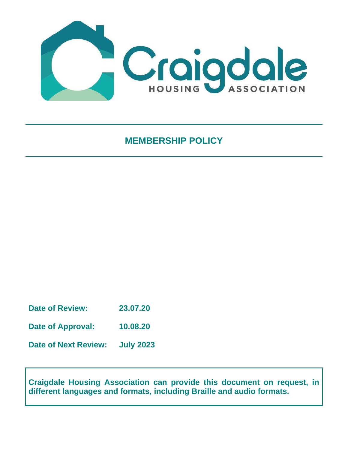

**MEMBERSHIP POLICY**

**Date of Review: 23.07.20**

**Date of Approval: 10.08.20**

**Date of Next Review: July 2023**

**Craigdale Housing Association can provide this document on request, in different languages and formats, including Braille and audio formats.**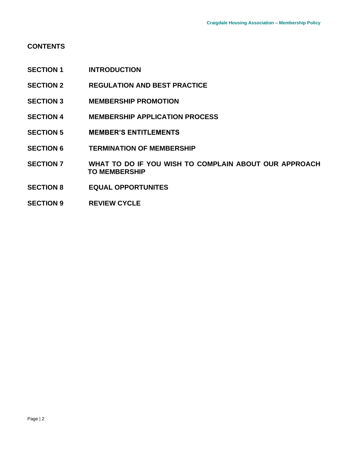# **CONTENTS**

- **SECTION 1 INTRODUCTION**
- **SECTION 2 REGULATION AND BEST PRACTICE**
- **SECTION 3 MEMBERSHIP PROMOTION**
- **SECTION 4 MEMBERSHIP APPLICATION PROCESS**
- **SECTION 5 MEMBER'S ENTITLEMENTS**
- **SECTION 6 TERMINATION OF MEMBERSHIP**
- **SECTION 7 WHAT TO DO IF YOU WISH TO COMPLAIN ABOUT OUR APPROACH TO MEMBERSHIP**
- **SECTION 8 EQUAL OPPORTUNITES**
- **SECTION 9 REVIEW CYCLE**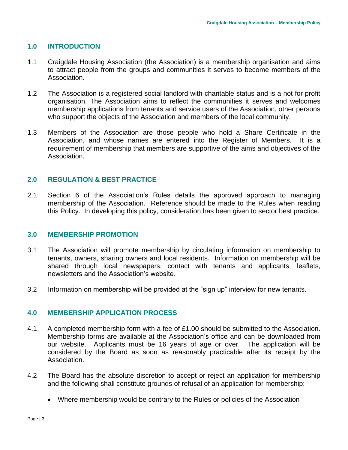### **1.0 INTRODUCTION**

- 1.1 Craigdale Housing Association (the Association) is a membership organisation and aims to attract people from the groups and communities it serves to become members of the Association.
- 1.2 The Association is a registered social landlord with charitable status and is a not for profit organisation. The Association aims to reflect the communities it serves and welcomes membership applications from tenants and service users of the Association, other persons who support the objects of the Association and members of the local community.
- 1.3 Members of the Association are those people who hold a Share Certificate in the Association, and whose names are entered into the Register of Members. It is a requirement of membership that members are supportive of the aims and objectives of the Association.

#### **2.0 REGULATION & BEST PRACTICE**

2.1 Section 6 of the Association's Rules details the approved approach to managing membership of the Association. Reference should be made to the Rules when reading this Policy. In developing this policy, consideration has been given to sector best practice.

#### **3.0 MEMBERSHIP PROMOTION**

- 3.1 The Association will promote membership by circulating information on membership to tenants, owners, sharing owners and local residents. Information on membership will be shared through local newspapers, contact with tenants and applicants, leaflets, newsletters and the Association's website.
- 3.2 Information on membership will be provided at the "sign up" interview for new tenants.

#### **4.0 MEMBERSHIP APPLICATION PROCESS**

- 4.1 A completed membership form with a fee of £1.00 should be submitted to the Association. Membership forms are available at the Association's office and can be downloaded from our website. Applicants must be 16 years of age or over. The application will be considered by the Board as soon as reasonably practicable after its receipt by the Association.
- 4.2 The Board has the absolute discretion to accept or reject an application for membership and the following shall constitute grounds of refusal of an application for membership:
	- Where membership would be contrary to the Rules or policies of the Association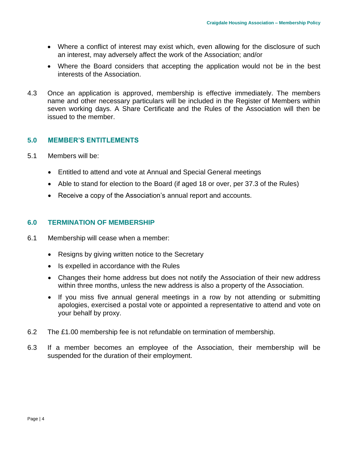- Where a conflict of interest may exist which, even allowing for the disclosure of such an interest, may adversely affect the work of the Association; and/or
- Where the Board considers that accepting the application would not be in the best interests of the Association.
- 4.3 Once an application is approved, membership is effective immediately. The members name and other necessary particulars will be included in the Register of Members within seven working days. A Share Certificate and the Rules of the Association will then be issued to the member.

# **5.0 MEMBER'S ENTITLEMENTS**

- 5.1 Members will be:
	- Entitled to attend and vote at Annual and Special General meetings
	- Able to stand for election to the Board (if aged 18 or over, per 37.3 of the Rules)
	- Receive a copy of the Association's annual report and accounts.

#### **6.0 TERMINATION OF MEMBERSHIP**

- 6.1 Membership will cease when a member:
	- Resigns by giving written notice to the Secretary
	- Is expelled in accordance with the Rules
	- Changes their home address but does not notify the Association of their new address within three months, unless the new address is also a property of the Association.
	- If you miss five annual general meetings in a row by not attending or submitting apologies, exercised a postal vote or appointed a representative to attend and vote on your behalf by proxy.
- 6.2 The £1.00 membership fee is not refundable on termination of membership.
- 6.3 If a member becomes an employee of the Association, their membership will be suspended for the duration of their employment.